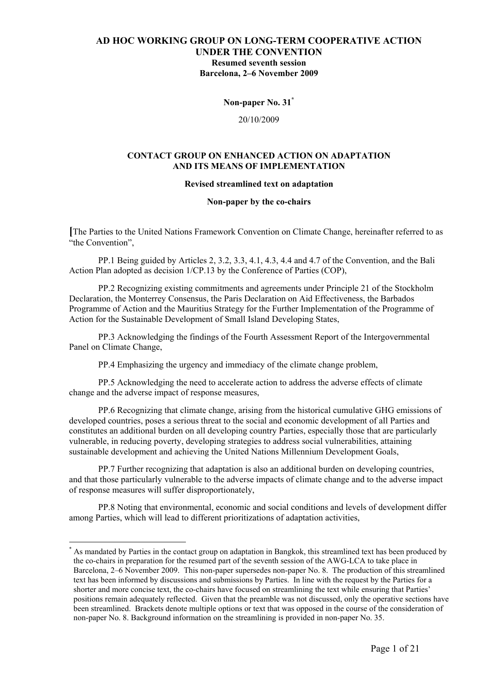**Non-paper No. 31\***

20/10/2009

### **CONTACT GROUP ON ENHANCED ACTION ON ADAPTATION AND ITS MEANS OF IMPLEMENTATION**

#### **Revised streamlined text on adaptation**

**Non-paper by the co-chairs** 

**[**The Parties to the United Nations Framework Convention on Climate Change, hereinafter referred to as "the Convention".

PP.1 Being guided by Articles 2, 3.2, 3.3, 4.1, 4.3, 4.4 and 4.7 of the Convention, and the Bali Action Plan adopted as decision 1/CP.13 by the Conference of Parties (COP),

PP.2 Recognizing existing commitments and agreements under Principle 21 of the Stockholm Declaration, the Monterrey Consensus, the Paris Declaration on Aid Effectiveness, the Barbados Programme of Action and the Mauritius Strategy for the Further Implementation of the Programme of Action for the Sustainable Development of Small Island Developing States,

PP.3 Acknowledging the findings of the Fourth Assessment Report of the Intergovernmental Panel on Climate Change,

PP.4 Emphasizing the urgency and immediacy of the climate change problem,

PP.5 Acknowledging the need to accelerate action to address the adverse effects of climate change and the adverse impact of response measures,

PP.6 Recognizing that climate change, arising from the historical cumulative GHG emissions of developed countries, poses a serious threat to the social and economic development of all Parties and constitutes an additional burden on all developing country Parties, especially those that are particularly vulnerable, in reducing poverty, developing strategies to address social vulnerabilities, attaining sustainable development and achieving the United Nations Millennium Development Goals,

PP.7 Further recognizing that adaptation is also an additional burden on developing countries, and that those particularly vulnerable to the adverse impacts of climate change and to the adverse impact of response measures will suffer disproportionately,

PP.8 Noting that environmental, economic and social conditions and levels of development differ among Parties, which will lead to different prioritizations of adaptation activities,

<sup>\*</sup> As mandated by Parties in the contact group on adaptation in Bangkok, this streamlined text has been produced by the co-chairs in preparation for the resumed part of the seventh session of the AWG-LCA to take place in Barcelona, 2–6 November 2009. This non-paper supersedes non-paper No. 8. The production of this streamlined text has been informed by discussions and submissions by Parties. In line with the request by the Parties for a shorter and more concise text, the co-chairs have focused on streamlining the text while ensuring that Parties' positions remain adequately reflected. Given that the preamble was not discussed, only the operative sections have been streamlined. Brackets denote multiple options or text that was opposed in the course of the consideration of non-paper No. 8. Background information on the streamlining is provided in non-paper No. 35.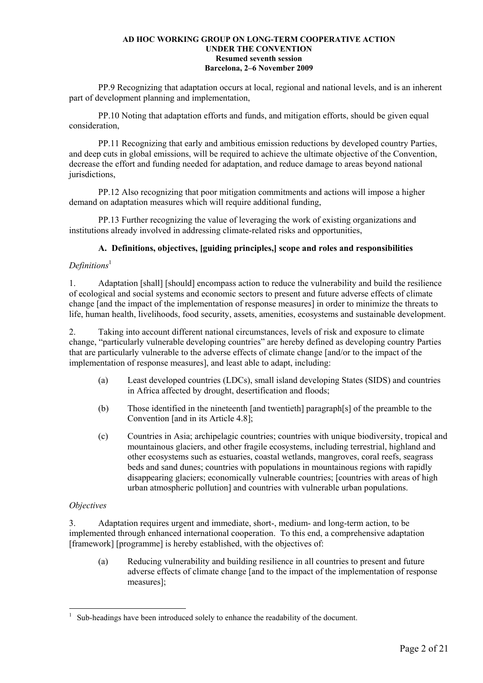PP.9 Recognizing that adaptation occurs at local, regional and national levels, and is an inherent part of development planning and implementation,

PP.10 Noting that adaptation efforts and funds, and mitigation efforts, should be given equal consideration,

PP.11 Recognizing that early and ambitious emission reductions by developed country Parties, and deep cuts in global emissions, will be required to achieve the ultimate objective of the Convention, decrease the effort and funding needed for adaptation, and reduce damage to areas beyond national jurisdictions,

PP.12 Also recognizing that poor mitigation commitments and actions will impose a higher demand on adaptation measures which will require additional funding.

PP.13 Further recognizing the value of leveraging the work of existing organizations and institutions already involved in addressing climate-related risks and opportunities,

### **A. Definitions, objectives, [guiding principles,] scope and roles and responsibilities**

### *Definitions*<sup>1</sup>

1. Adaptation [shall] [should] encompass action to reduce the vulnerability and build the resilience of ecological and social systems and economic sectors to present and future adverse effects of climate change [and the impact of the implementation of response measures] in order to minimize the threats to life, human health, livelihoods, food security, assets, amenities, ecosystems and sustainable development.

2. Taking into account different national circumstances, levels of risk and exposure to climate change, "particularly vulnerable developing countries" are hereby defined as developing country Parties that are particularly vulnerable to the adverse effects of climate change [and/or to the impact of the implementation of response measures], and least able to adapt, including:

- (a) Least developed countries (LDCs), small island developing States (SIDS) and countries in Africa affected by drought, desertification and floods;
- (b) Those identified in the nineteenth [and twentieth] paragraph[s] of the preamble to the Convention [and in its Article 4.8];
- (c) Countries in Asia; archipelagic countries; countries with unique biodiversity, tropical and mountainous glaciers, and other fragile ecosystems, including terrestrial, highland and other ecosystems such as estuaries, coastal wetlands, mangroves, coral reefs, seagrass beds and sand dunes; countries with populations in mountainous regions with rapidly disappearing glaciers; economically vulnerable countries; [countries with areas of high urban atmospheric pollution] and countries with vulnerable urban populations.

### *Objectives*

3. Adaptation requires urgent and immediate, short-, medium- and long-term action, to be implemented through enhanced international cooperation. To this end, a comprehensive adaptation [framework] [programme] is hereby established, with the objectives of:

(a) Reducing vulnerability and building resilience in all countries to present and future adverse effects of climate change [and to the impact of the implementation of response measures];

 $\overline{a}$ 1 Sub-headings have been introduced solely to enhance the readability of the document.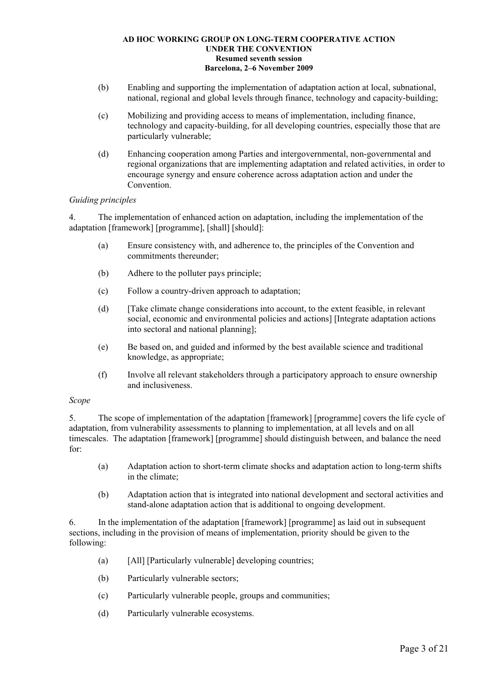- (b) Enabling and supporting the implementation of adaptation action at local, subnational, national, regional and global levels through finance, technology and capacity-building;
- (c) Mobilizing and providing access to means of implementation, including finance, technology and capacity-building, for all developing countries, especially those that are particularly vulnerable;
- (d) Enhancing cooperation among Parties and intergovernmental, non-governmental and regional organizations that are implementing adaptation and related activities, in order to encourage synergy and ensure coherence across adaptation action and under the **Convention**

### *Guiding principles*

4. The implementation of enhanced action on adaptation, including the implementation of the adaptation [framework] [programme], [shall] [should]:

- (a) Ensure consistency with, and adherence to, the principles of the Convention and commitments thereunder;
- (b) Adhere to the polluter pays principle;
- (c) Follow a country-driven approach to adaptation;
- (d) [Take climate change considerations into account, to the extent feasible, in relevant social, economic and environmental policies and actions] [Integrate adaptation actions into sectoral and national planning];
- (e) Be based on, and guided and informed by the best available science and traditional knowledge, as appropriate;
- (f) Involve all relevant stakeholders through a participatory approach to ensure ownership and inclusiveness.

### *Scope*

5. The scope of implementation of the adaptation [framework] [programme] covers the life cycle of adaptation, from vulnerability assessments to planning to implementation, at all levels and on all timescales. The adaptation [framework] [programme] should distinguish between, and balance the need for:

- (a) Adaptation action to short-term climate shocks and adaptation action to long-term shifts in the climate;
- (b) Adaptation action that is integrated into national development and sectoral activities and stand-alone adaptation action that is additional to ongoing development.

6. In the implementation of the adaptation [framework] [programme] as laid out in subsequent sections, including in the provision of means of implementation, priority should be given to the following:

- (a) [All] [Particularly vulnerable] developing countries;
- (b) Particularly vulnerable sectors;
- (c) Particularly vulnerable people, groups and communities;
- (d) Particularly vulnerable ecosystems.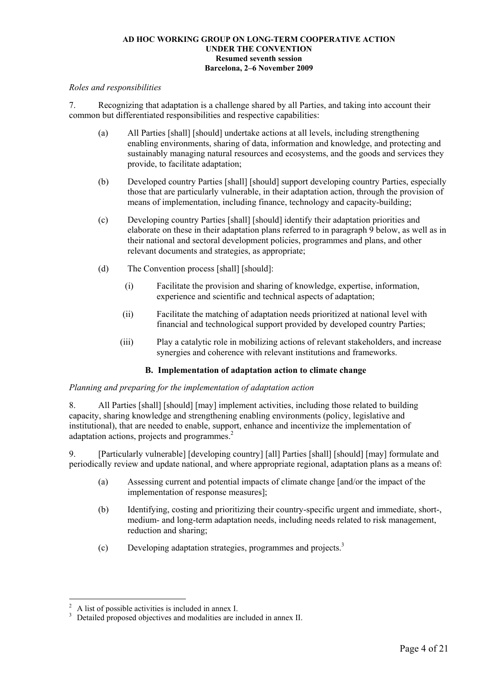### *Roles and responsibilities*

7. Recognizing that adaptation is a challenge shared by all Parties, and taking into account their common but differentiated responsibilities and respective capabilities:

- (a) All Parties [shall] [should] undertake actions at all levels, including strengthening enabling environments, sharing of data, information and knowledge, and protecting and sustainably managing natural resources and ecosystems, and the goods and services they provide, to facilitate adaptation;
- (b) Developed country Parties [shall] [should] support developing country Parties, especially those that are particularly vulnerable, in their adaptation action, through the provision of means of implementation, including finance, technology and capacity-building;
- (c) Developing country Parties [shall] [should] identify their adaptation priorities and elaborate on these in their adaptation plans referred to in paragraph 9 below, as well as in their national and sectoral development policies, programmes and plans, and other relevant documents and strategies, as appropriate;
- (d) The Convention process [shall] [should]:
	- (i) Facilitate the provision and sharing of knowledge, expertise, information, experience and scientific and technical aspects of adaptation;
	- (ii) Facilitate the matching of adaptation needs prioritized at national level with financial and technological support provided by developed country Parties;
	- (iii) Play a catalytic role in mobilizing actions of relevant stakeholders, and increase synergies and coherence with relevant institutions and frameworks.

### **B. Implementation of adaptation action to climate change**

### *Planning and preparing for the implementation of adaptation action*

8. All Parties [shall] [should] [may] implement activities, including those related to building capacity, sharing knowledge and strengthening enabling environments (policy, legislative and institutional), that are needed to enable, support, enhance and incentivize the implementation of adaptation actions, projects and programmes.<sup>2</sup>

9. [Particularly vulnerable] [developing country] [all] Parties [shall] [should] [may] formulate and periodically review and update national, and where appropriate regional, adaptation plans as a means of:

- (a) Assessing current and potential impacts of climate change [and/or the impact of the implementation of response measures];
- (b) Identifying, costing and prioritizing their country-specific urgent and immediate, short-, medium- and long-term adaptation needs, including needs related to risk management, reduction and sharing;
- (c) Developing adaptation strategies, programmes and projects.3

<sup>2</sup> A list of possible activities is included in annex I.

<sup>3</sup> Detailed proposed objectives and modalities are included in annex II.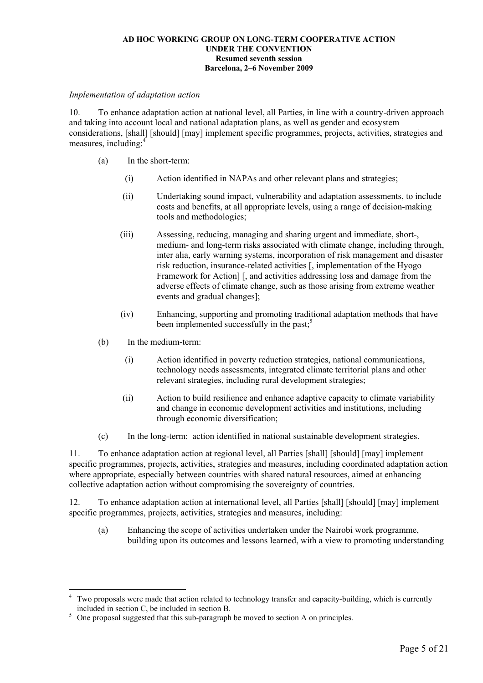### *Implementation of adaptation action*

10. To enhance adaptation action at national level, all Parties, in line with a country-driven approach and taking into account local and national adaptation plans, as well as gender and ecosystem considerations, [shall] [should] [may] implement specific programmes, projects, activities, strategies and measures, including:

- (a) In the short-term:
	- (i) Action identified in NAPAs and other relevant plans and strategies;
	- (ii) Undertaking sound impact, vulnerability and adaptation assessments, to include costs and benefits, at all appropriate levels, using a range of decision-making tools and methodologies;
	- (iii) Assessing, reducing, managing and sharing urgent and immediate, short-, medium- and long-term risks associated with climate change, including through, inter alia, early warning systems, incorporation of risk management and disaster risk reduction, insurance-related activities [, implementation of the Hyogo Framework for Action] [, and activities addressing loss and damage from the adverse effects of climate change, such as those arising from extreme weather events and gradual changes];
	- (iv) Enhancing, supporting and promoting traditional adaptation methods that have been implemented successfully in the past;<sup>5</sup>
- (b) In the medium-term:

 $\overline{a}$ 

- (i) Action identified in poverty reduction strategies, national communications, technology needs assessments, integrated climate territorial plans and other relevant strategies, including rural development strategies;
- (ii) Action to build resilience and enhance adaptive capacity to climate variability and change in economic development activities and institutions, including through economic diversification;
- (c) In the long-term: action identified in national sustainable development strategies.

11. To enhance adaptation action at regional level, all Parties [shall] [should] [may] implement specific programmes, projects, activities, strategies and measures, including coordinated adaptation action where appropriate, especially between countries with shared natural resources, aimed at enhancing collective adaptation action without compromising the sovereignty of countries.

12. To enhance adaptation action at international level, all Parties [shall] [should] [may] implement specific programmes, projects, activities, strategies and measures, including:

(a) Enhancing the scope of activities undertaken under the Nairobi work programme, building upon its outcomes and lessons learned, with a view to promoting understanding

<sup>4</sup> Two proposals were made that action related to technology transfer and capacity-building, which is currently

included in section C, be included in section B.<br>
<sup>5</sup> One proposal suggested that this sub-paragraph be moved to section A on principles.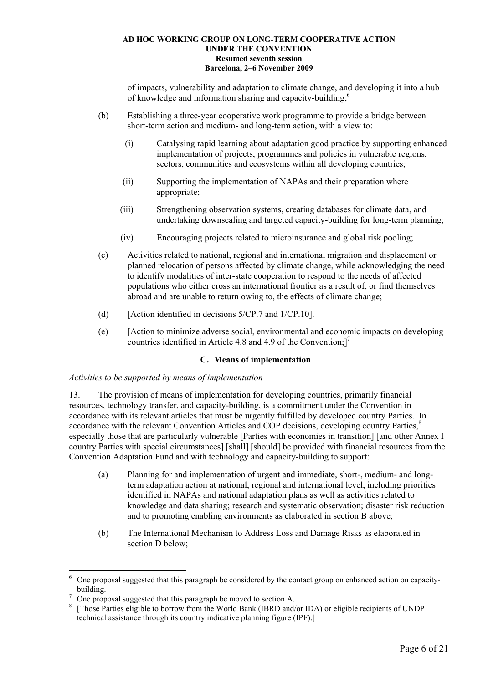of impacts, vulnerability and adaptation to climate change, and developing it into a hub of knowledge and information sharing and capacity-building;6

- (b) Establishing a three-year cooperative work programme to provide a bridge between short-term action and medium- and long-term action, with a view to:
	- (i) Catalysing rapid learning about adaptation good practice by supporting enhanced implementation of projects, programmes and policies in vulnerable regions, sectors, communities and ecosystems within all developing countries;
	- (ii) Supporting the implementation of NAPAs and their preparation where appropriate;
	- (iii) Strengthening observation systems, creating databases for climate data, and undertaking downscaling and targeted capacity-building for long-term planning;
	- (iv) Encouraging projects related to microinsurance and global risk pooling;
- (c) Activities related to national, regional and international migration and displacement or planned relocation of persons affected by climate change, while acknowledging the need to identify modalities of inter-state cooperation to respond to the needs of affected populations who either cross an international frontier as a result of, or find themselves abroad and are unable to return owing to, the effects of climate change;
- (d) [Action identified in decisions 5/CP.7 and 1/CP.10].
- (e) [Action to minimize adverse social, environmental and economic impacts on developing countries identified in Article 4.8 and 4.9 of the Convention; $]^{7}$

## **C. Means of implementation**

## *Activities to be supported by means of implementation*

13. The provision of means of implementation for developing countries, primarily financial resources, technology transfer, and capacity-building, is a commitment under the Convention in accordance with its relevant articles that must be urgently fulfilled by developed country Parties. In accordance with the relevant Convention Articles and COP decisions, developing country Parties,<sup>8</sup> especially those that are particularly vulnerable [Parties with economies in transition] [and other Annex I country Parties with special circumstances] [shall] [should] be provided with financial resources from the Convention Adaptation Fund and with technology and capacity-building to support:

- (a) Planning for and implementation of urgent and immediate, short-, medium- and longterm adaptation action at national, regional and international level, including priorities identified in NAPAs and national adaptation plans as well as activities related to knowledge and data sharing; research and systematic observation; disaster risk reduction and to promoting enabling environments as elaborated in section B above;
- (b) The International Mechanism to Address Loss and Damage Risks as elaborated in section D below;

<sup>&</sup>lt;sup>6</sup> One proposal suggested that this paragraph be considered by the contact group on enhanced action on capacitybuilding. 7

One proposal suggested that this paragraph be moved to section A.

<sup>&</sup>lt;sup>8</sup> [Those Parties eligible to borrow from the World Bank (IBRD and/or IDA) or eligible recipients of UNDP technical assistance through its country indicative planning figure (IPF).]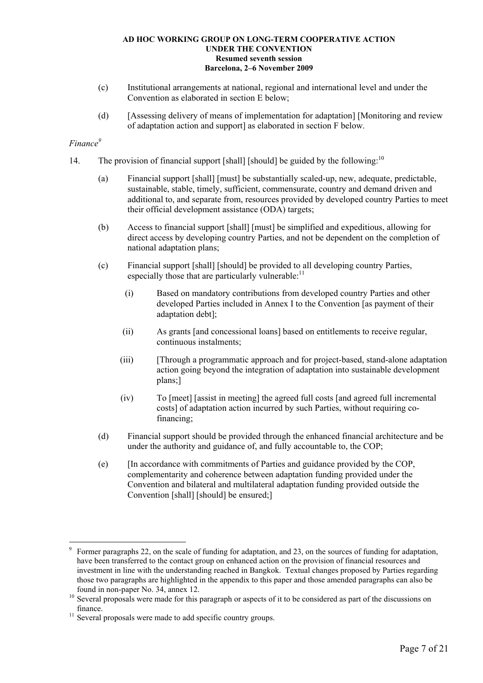- (c) Institutional arrangements at national, regional and international level and under the Convention as elaborated in section E below;
- (d) [Assessing delivery of means of implementation for adaptation] [Monitoring and review of adaptation action and support] as elaborated in section F below.

# *Finance9*

- 14. The provision of financial support [shall] [should] be guided by the following:<sup>10</sup>
	- (a) Financial support [shall] [must] be substantially scaled-up, new, adequate, predictable, sustainable, stable, timely, sufficient, commensurate, country and demand driven and additional to, and separate from, resources provided by developed country Parties to meet their official development assistance (ODA) targets;
	- (b) Access to financial support [shall] [must] be simplified and expeditious, allowing for direct access by developing country Parties, and not be dependent on the completion of national adaptation plans;
	- (c) Financial support [shall] [should] be provided to all developing country Parties, especially those that are particularly vulnerable: $<sup>11</sup>$ </sup>
		- (i) Based on mandatory contributions from developed country Parties and other developed Parties included in Annex I to the Convention [as payment of their adaptation debt];
		- (ii) As grants [and concessional loans] based on entitlements to receive regular, continuous instalments;
		- (iii) [Through a programmatic approach and for project-based, stand-alone adaptation action going beyond the integration of adaptation into sustainable development plans;]
		- (iv) To [meet] [assist in meeting] the agreed full costs [and agreed full incremental costs] of adaptation action incurred by such Parties, without requiring cofinancing;
	- (d) Financial support should be provided through the enhanced financial architecture and be under the authority and guidance of, and fully accountable to, the COP;
	- (e) [In accordance with commitments of Parties and guidance provided by the COP, complementarity and coherence between adaptation funding provided under the Convention and bilateral and multilateral adaptation funding provided outside the Convention [shall] [should] be ensured;]

<sup>9</sup> Former paragraphs 22, on the scale of funding for adaptation, and 23, on the sources of funding for adaptation, have been transferred to the contact group on enhanced action on the provision of financial resources and investment in line with the understanding reached in Bangkok. Textual changes proposed by Parties regarding those two paragraphs are highlighted in the appendix to this paper and those amended paragraphs can also be

found in non-paper No. 34, annex 12.  $10^{10}$  Several proposals were made for this paragraph or aspects of it to be considered as part of the discussions on

finance.<br><sup>11</sup> Several proposals were made to add specific country groups.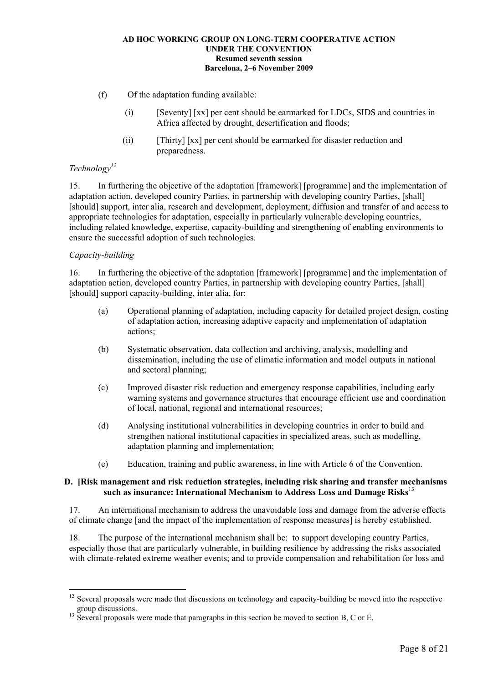- (f) Of the adaptation funding available:
	- (i) [Seventy] [xx] per cent should be earmarked for LDCs, SIDS and countries in Africa affected by drought, desertification and floods;
	- (ii) [Thirty] [xx] per cent should be earmarked for disaster reduction and preparedness.

## *Technology12*

15. In furthering the objective of the adaptation [framework] [programme] and the implementation of adaptation action, developed country Parties, in partnership with developing country Parties, [shall] [should] support, inter alia, research and development, deployment, diffusion and transfer of and access to appropriate technologies for adaptation, especially in particularly vulnerable developing countries, including related knowledge, expertise, capacity-building and strengthening of enabling environments to ensure the successful adoption of such technologies.

## *Capacity-building*

 $\overline{a}$ 

16. In furthering the objective of the adaptation [framework] [programme] and the implementation of adaptation action, developed country Parties, in partnership with developing country Parties, [shall] [should] support capacity-building, inter alia, for:

- (a) Operational planning of adaptation, including capacity for detailed project design, costing of adaptation action, increasing adaptive capacity and implementation of adaptation actions;
- (b) Systematic observation, data collection and archiving, analysis, modelling and dissemination, including the use of climatic information and model outputs in national and sectoral planning;
- (c) Improved disaster risk reduction and emergency response capabilities, including early warning systems and governance structures that encourage efficient use and coordination of local, national, regional and international resources;
- (d) Analysing institutional vulnerabilities in developing countries in order to build and strengthen national institutional capacities in specialized areas, such as modelling, adaptation planning and implementation;
- (e) Education, training and public awareness, in line with Article 6 of the Convention.

### **D. [Risk management and risk reduction strategies, including risk sharing and transfer mechanisms such as insurance: International Mechanism to Address Loss and Damage Risks**<sup>13</sup>

17. An international mechanism to address the unavoidable loss and damage from the adverse effects of climate change [and the impact of the implementation of response measures] is hereby established.

18. The purpose of the international mechanism shall be: to support developing country Parties, especially those that are particularly vulnerable, in building resilience by addressing the risks associated with climate-related extreme weather events; and to provide compensation and rehabilitation for loss and

<sup>&</sup>lt;sup>12</sup> Several proposals were made that discussions on technology and capacity-building be moved into the respective group discussions.<br><sup>13</sup> Several proposals were made that paragraphs in this section be moved to section B, C or E.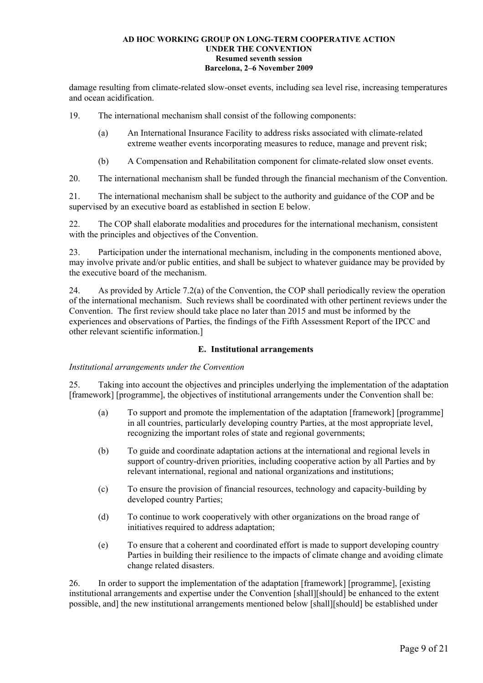damage resulting from climate-related slow-onset events, including sea level rise, increasing temperatures and ocean acidification.

19. The international mechanism shall consist of the following components:

- (a) An International Insurance Facility to address risks associated with climate-related extreme weather events incorporating measures to reduce, manage and prevent risk;
- (b) A Compensation and Rehabilitation component for climate-related slow onset events.

20. The international mechanism shall be funded through the financial mechanism of the Convention.

21. The international mechanism shall be subject to the authority and guidance of the COP and be supervised by an executive board as established in section E below.

22. The COP shall elaborate modalities and procedures for the international mechanism, consistent with the principles and objectives of the Convention.

23. Participation under the international mechanism, including in the components mentioned above, may involve private and/or public entities, and shall be subject to whatever guidance may be provided by the executive board of the mechanism.

24. As provided by Article 7.2(a) of the Convention, the COP shall periodically review the operation of the international mechanism. Such reviews shall be coordinated with other pertinent reviews under the Convention. The first review should take place no later than 2015 and must be informed by the experiences and observations of Parties, the findings of the Fifth Assessment Report of the IPCC and other relevant scientific information.]

### **E. Institutional arrangements**

### *Institutional arrangements under the Convention*

25. Taking into account the objectives and principles underlying the implementation of the adaptation [framework] [programme], the objectives of institutional arrangements under the Convention shall be:

- (a) To support and promote the implementation of the adaptation [framework] [programme] in all countries, particularly developing country Parties, at the most appropriate level, recognizing the important roles of state and regional governments;
- (b) To guide and coordinate adaptation actions at the international and regional levels in support of country-driven priorities, including cooperative action by all Parties and by relevant international, regional and national organizations and institutions;
- (c) To ensure the provision of financial resources, technology and capacity-building by developed country Parties;
- (d) To continue to work cooperatively with other organizations on the broad range of initiatives required to address adaptation;
- (e) To ensure that a coherent and coordinated effort is made to support developing country Parties in building their resilience to the impacts of climate change and avoiding climate change related disasters.

26. In order to support the implementation of the adaptation [framework] [programme], [existing institutional arrangements and expertise under the Convention [shall][should] be enhanced to the extent possible, and] the new institutional arrangements mentioned below [shall][should] be established under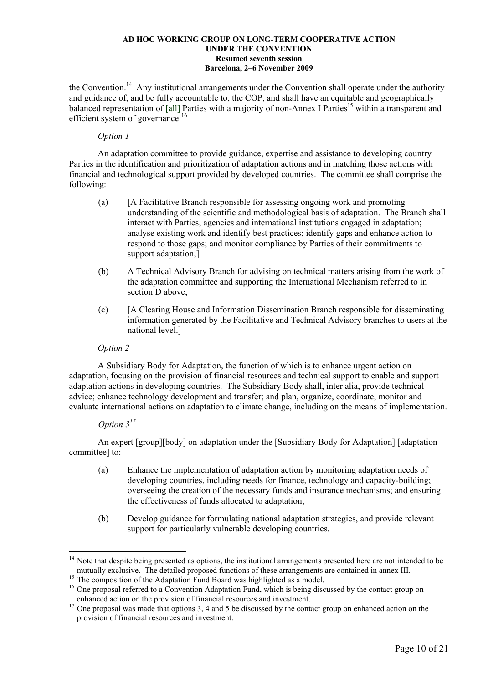the Convention.<sup>14</sup> Any institutional arrangements under the Convention shall operate under the authority and guidance of, and be fully accountable to, the COP, and shall have an equitable and geographically balanced representation of [all] Parties with a majority of non-Annex I Parties<sup>15</sup> within a transparent and efficient system of governance:<sup>16</sup>

### *Option 1*

An adaptation committee to provide guidance, expertise and assistance to developing country Parties in the identification and prioritization of adaptation actions and in matching those actions with financial and technological support provided by developed countries. The committee shall comprise the following:

- (a) [A Facilitative Branch responsible for assessing ongoing work and promoting understanding of the scientific and methodological basis of adaptation. The Branch shall interact with Parties, agencies and international institutions engaged in adaptation; analyse existing work and identify best practices; identify gaps and enhance action to respond to those gaps; and monitor compliance by Parties of their commitments to support adaptation;]
- (b) A Technical Advisory Branch for advising on technical matters arising from the work of the adaptation committee and supporting the International Mechanism referred to in section D above:
- (c) [A Clearing House and Information Dissemination Branch responsible for disseminating information generated by the Facilitative and Technical Advisory branches to users at the national level.]

## *Option 2*

A Subsidiary Body for Adaptation, the function of which is to enhance urgent action on adaptation, focusing on the provision of financial resources and technical support to enable and support adaptation actions in developing countries. The Subsidiary Body shall, inter alia, provide technical advice; enhance technology development and transfer; and plan, organize, coordinate, monitor and evaluate international actions on adaptation to climate change, including on the means of implementation.

# *Option 317*

 $\overline{a}$ 

An expert [group][body] on adaptation under the [Subsidiary Body for Adaptation] [adaptation committee] to:

- (a) Enhance the implementation of adaptation action by monitoring adaptation needs of developing countries, including needs for finance, technology and capacity-building; overseeing the creation of the necessary funds and insurance mechanisms; and ensuring the effectiveness of funds allocated to adaptation;
- (b) Develop guidance for formulating national adaptation strategies, and provide relevant support for particularly vulnerable developing countries.

<sup>&</sup>lt;sup>14</sup> Note that despite being presented as options, the institutional arrangements presented here are not intended to be mutually exclusive. The detailed proposed functions of these arrangements are contained in annex III.<br><sup>15</sup> The composition of the Adaptation Fund Board was highlighted as a model.

 $16$  One proposal referred to a Convention Adaptation Fund, which is being discussed by the contact group on enhanced action on the provision of financial resources and investment.

<sup>&</sup>lt;sup>17</sup> One proposal was made that options 3, 4 and 5 be discussed by the contact group on enhanced action on the provision of financial resources and investment.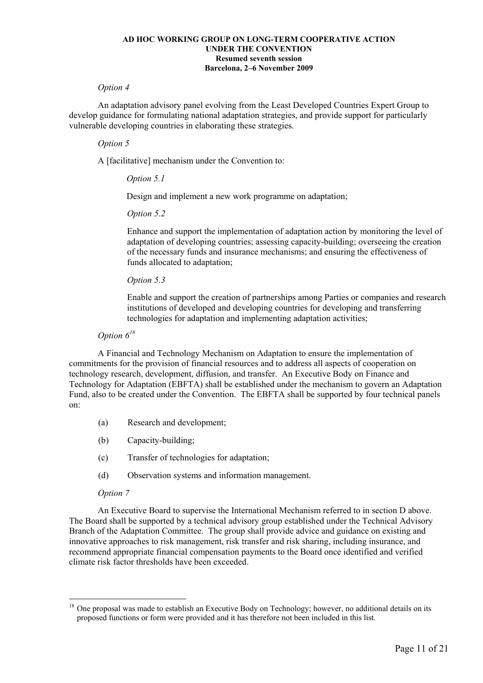#### *Option 4*

An adaptation advisory panel evolving from the Least Developed Countries Expert Group to develop guidance for formulating national adaptation strategies, and provide support for particularly vulnerable developing countries in elaborating these strategies.

### *Option 5*

A [facilitative] mechanism under the Convention to:

### *Option 5.1*

Design and implement a new work programme on adaptation;

#### *Option 5.2*

Enhance and support the implementation of adaptation action by monitoring the level of adaptation of developing countries; assessing capacity-building; overseeing the creation of the necessary funds and insurance mechanisms; and ensuring the effectiveness of funds allocated to adaptation;

### *Option 5.3*

Enable and support the creation of partnerships among Parties or companies and research institutions of developed and developing countries for developing and transferring technologies for adaptation and implementing adaptation activities;

## *Option 6<sup>18</sup>*

A Financial and Technology Mechanism on Adaptation to ensure the implementation of commitments for the provision of financial resources and to address all aspects of cooperation on technology research, development, diffusion, and transfer. An Executive Body on Finance and Technology for Adaptation (EBFTA) shall be established under the mechanism to govern an Adaptation Fund, also to be created under the Convention. The EBFTA shall be supported by four technical panels on:

- (a) Research and development;
- (b) Capacity-building;
- (c) Transfer of technologies for adaptation;
- (d) Observation systems and information management.

### *Option 7*

 $\overline{a}$ 

An Executive Board to supervise the International Mechanism referred to in section D above. The Board shall be supported by a technical advisory group established under the Technical Advisory Branch of the Adaptation Committee. The group shall provide advice and guidance on existing and innovative approaches to risk management, risk transfer and risk sharing, including insurance, and recommend appropriate financial compensation payments to the Board once identified and verified climate risk factor thresholds have been exceeded.

 $18$  One proposal was made to establish an Executive Body on Technology; however, no additional details on its proposed functions or form were provided and it has therefore not been included in this list.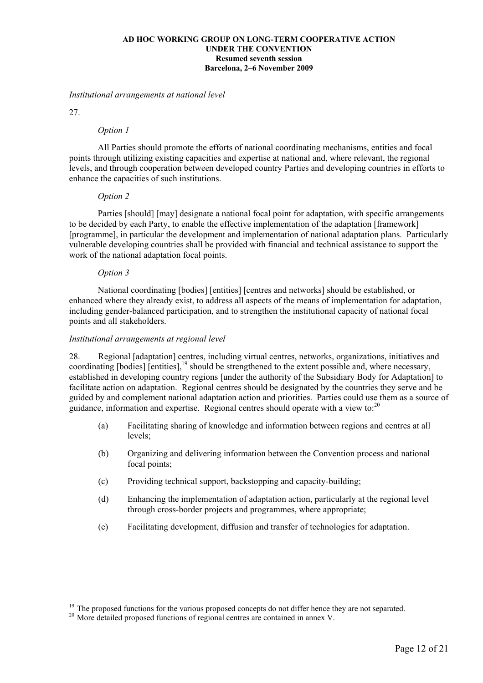#### *Institutional arrangements at national level*

27.

 $\overline{a}$ 

#### *Option 1*

All Parties should promote the efforts of national coordinating mechanisms, entities and focal points through utilizing existing capacities and expertise at national and, where relevant, the regional levels, and through cooperation between developed country Parties and developing countries in efforts to enhance the capacities of such institutions.

### *Option 2*

Parties [should] [may] designate a national focal point for adaptation, with specific arrangements to be decided by each Party, to enable the effective implementation of the adaptation [framework] [programme], in particular the development and implementation of national adaptation plans. Particularly vulnerable developing countries shall be provided with financial and technical assistance to support the work of the national adaptation focal points.

#### *Option 3*

National coordinating [bodies] [entities] [centres and networks] should be established, or enhanced where they already exist, to address all aspects of the means of implementation for adaptation, including gender-balanced participation, and to strengthen the institutional capacity of national focal points and all stakeholders.

#### *Institutional arrangements at regional level*

28. Regional [adaptation] centres, including virtual centres, networks, organizations, initiatives and coordinating [bodies] [entities],<sup>19</sup> should be strengthened to the extent possible and, where necessary, established in developing country regions [under the authority of the Subsidiary Body for Adaptation] to facilitate action on adaptation. Regional centres should be designated by the countries they serve and be guided by and complement national adaptation action and priorities. Parties could use them as a source of guidance, information and expertise. Regional centres should operate with a view to: $^{20}$ 

- (a) Facilitating sharing of knowledge and information between regions and centres at all levels;
- (b) Organizing and delivering information between the Convention process and national focal points;
- (c) Providing technical support, backstopping and capacity-building;
- (d) Enhancing the implementation of adaptation action, particularly at the regional level through cross-border projects and programmes, where appropriate;
- (e) Facilitating development, diffusion and transfer of technologies for adaptation.

<sup>&</sup>lt;sup>19</sup> The proposed functions for the various proposed concepts do not differ hence they are not separated. <sup>20</sup> More detailed proposed functions of regional centres are contained in annex V.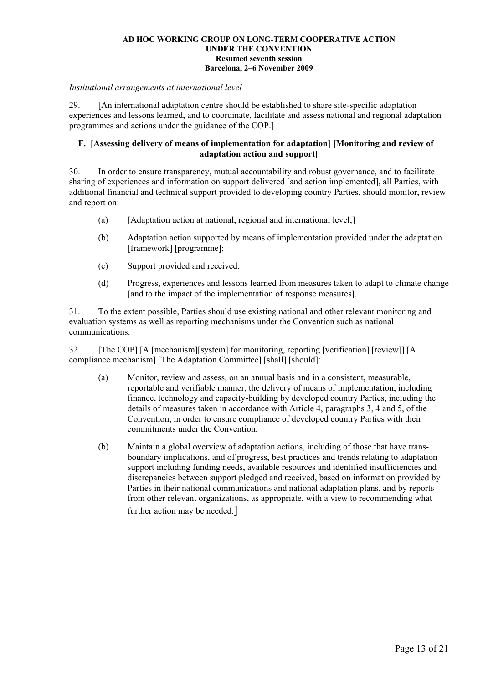#### *Institutional arrangements at international level*

29. [An international adaptation centre should be established to share site-specific adaptation experiences and lessons learned, and to coordinate, facilitate and assess national and regional adaptation programmes and actions under the guidance of the COP.]

### **F. [Assessing delivery of means of implementation for adaptation] [Monitoring and review of adaptation action and support]**

30. In order to ensure transparency, mutual accountability and robust governance, and to facilitate sharing of experiences and information on support delivered [and action implemented], all Parties, with additional financial and technical support provided to developing country Parties, should monitor, review and report on:

- (a) [Adaptation action at national, regional and international level;]
- (b) Adaptation action supported by means of implementation provided under the adaptation [framework] [programme];
- (c) Support provided and received;
- (d) Progress, experiences and lessons learned from measures taken to adapt to climate change [and to the impact of the implementation of response measures].

31. To the extent possible, Parties should use existing national and other relevant monitoring and evaluation systems as well as reporting mechanisms under the Convention such as national communications.

32. [The COP] [A [mechanism][system] for monitoring, reporting [verification] [review]] [A compliance mechanism] [The Adaptation Committee] [shall] [should]:

- (a) Monitor, review and assess, on an annual basis and in a consistent, measurable, reportable and verifiable manner, the delivery of means of implementation, including finance, technology and capacity-building by developed country Parties, including the details of measures taken in accordance with Article 4, paragraphs 3, 4 and 5, of the Convention, in order to ensure compliance of developed country Parties with their commitments under the Convention;
- (b) Maintain a global overview of adaptation actions, including of those that have transboundary implications, and of progress, best practices and trends relating to adaptation support including funding needs, available resources and identified insufficiencies and discrepancies between support pledged and received, based on information provided by Parties in their national communications and national adaptation plans, and by reports from other relevant organizations, as appropriate, with a view to recommending what further action may be needed.]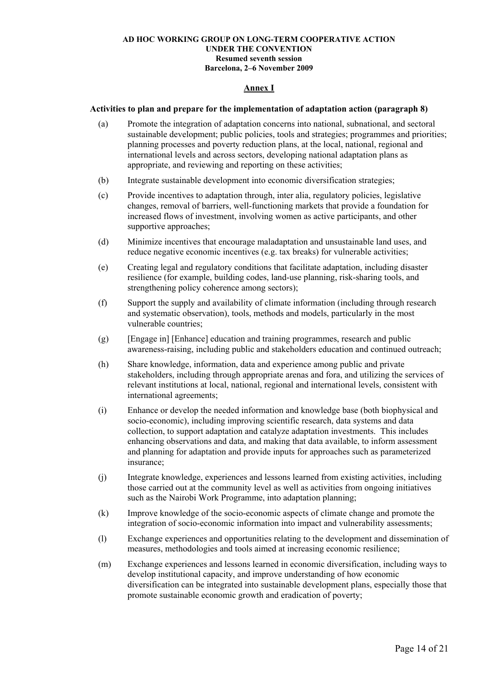### **Annex I**

#### **Activities to plan and prepare for the implementation of adaptation action (paragraph 8)**

- (a) Promote the integration of adaptation concerns into national, subnational, and sectoral sustainable development; public policies, tools and strategies; programmes and priorities; planning processes and poverty reduction plans, at the local, national, regional and international levels and across sectors, developing national adaptation plans as appropriate, and reviewing and reporting on these activities;
- (b) Integrate sustainable development into economic diversification strategies;
- (c) Provide incentives to adaptation through, inter alia, regulatory policies, legislative changes, removal of barriers, well-functioning markets that provide a foundation for increased flows of investment, involving women as active participants, and other supportive approaches;
- (d) Minimize incentives that encourage maladaptation and unsustainable land uses, and reduce negative economic incentives (e.g. tax breaks) for vulnerable activities;
- (e) Creating legal and regulatory conditions that facilitate adaptation, including disaster resilience (for example, building codes, land-use planning, risk-sharing tools, and strengthening policy coherence among sectors);
- (f) Support the supply and availability of climate information (including through research and systematic observation), tools, methods and models, particularly in the most vulnerable countries;
- (g) [Engage in] [Enhance] education and training programmes, research and public awareness-raising, including public and stakeholders education and continued outreach;
- (h) Share knowledge, information, data and experience among public and private stakeholders, including through appropriate arenas and fora, and utilizing the services of relevant institutions at local, national, regional and international levels, consistent with international agreements;
- (i) Enhance or develop the needed information and knowledge base (both biophysical and socio-economic), including improving scientific research, data systems and data collection, to support adaptation and catalyze adaptation investments. This includes enhancing observations and data, and making that data available, to inform assessment and planning for adaptation and provide inputs for approaches such as parameterized insurance;
- (j) Integrate knowledge, experiences and lessons learned from existing activities, including those carried out at the community level as well as activities from ongoing initiatives such as the Nairobi Work Programme, into adaptation planning;
- (k) Improve knowledge of the socio-economic aspects of climate change and promote the integration of socio-economic information into impact and vulnerability assessments;
- (l) Exchange experiences and opportunities relating to the development and dissemination of measures, methodologies and tools aimed at increasing economic resilience;
- (m) Exchange experiences and lessons learned in economic diversification, including ways to develop institutional capacity, and improve understanding of how economic diversification can be integrated into sustainable development plans, especially those that promote sustainable economic growth and eradication of poverty;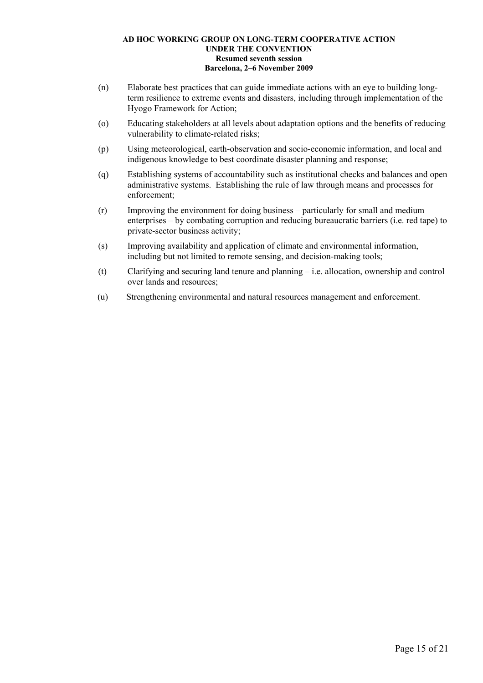- (n) Elaborate best practices that can guide immediate actions with an eye to building longterm resilience to extreme events and disasters, including through implementation of the Hyogo Framework for Action;
- (o) Educating stakeholders at all levels about adaptation options and the benefits of reducing vulnerability to climate-related risks;
- (p) Using meteorological, earth-observation and socio-economic information, and local and indigenous knowledge to best coordinate disaster planning and response;
- (q) Establishing systems of accountability such as institutional checks and balances and open administrative systems. Establishing the rule of law through means and processes for enforcement;
- $(r)$  Improving the environment for doing business particularly for small and medium enterprises  $-$  by combating corruption and reducing bureaucratic barriers (i.e. red tape) to private-sector business activity;
- (s) Improving availability and application of climate and environmental information, including but not limited to remote sensing, and decision-making tools;
- (t) Clarifying and securing land tenure and planning  $-$  i.e. allocation, ownership and control over lands and resources;
- (u) Strengthening environmental and natural resources management and enforcement.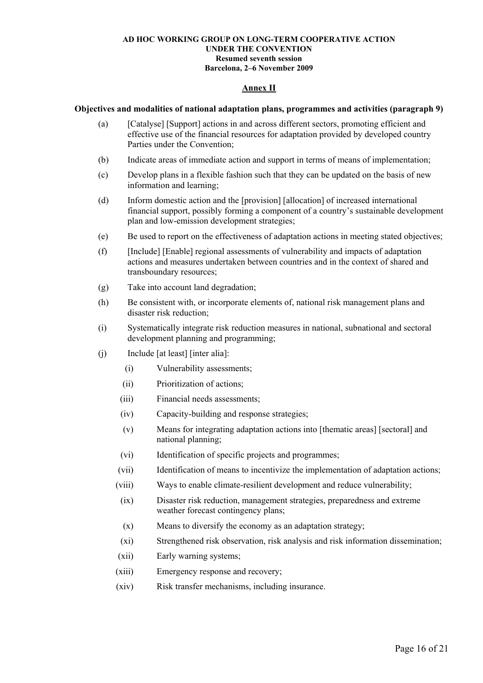### **Annex II**

### **Objectives and modalities of national adaptation plans, programmes and activities (paragraph 9)**

- (a) [Catalyse] [Support] actions in and across different sectors, promoting efficient and effective use of the financial resources for adaptation provided by developed country Parties under the Convention;
- (b) Indicate areas of immediate action and support in terms of means of implementation;
- (c) Develop plans in a flexible fashion such that they can be updated on the basis of new information and learning;
- (d) Inform domestic action and the [provision] [allocation] of increased international financial support, possibly forming a component of a countryís sustainable development plan and low-emission development strategies;
- (e) Be used to report on the effectiveness of adaptation actions in meeting stated objectives;
- (f) [Include] [Enable] regional assessments of vulnerability and impacts of adaptation actions and measures undertaken between countries and in the context of shared and transboundary resources;
- (g) Take into account land degradation;
- (h) Be consistent with, or incorporate elements of, national risk management plans and disaster risk reduction;
- (i) Systematically integrate risk reduction measures in national, subnational and sectoral development planning and programming;
- (j) Include [at least] [inter alia]:
	- (i) Vulnerability assessments;
	- (ii) Prioritization of actions;
	- (iii) Financial needs assessments;
	- (iv) Capacity-building and response strategies;
	- (v) Means for integrating adaptation actions into [thematic areas] [sectoral] and national planning;
	- (vi) Identification of specific projects and programmes;
	- (vii) Identification of means to incentivize the implementation of adaptation actions;
	- (viii) Ways to enable climate-resilient development and reduce vulnerability;
		- (ix) Disaster risk reduction, management strategies, preparedness and extreme weather forecast contingency plans;
		- (x) Means to diversify the economy as an adaptation strategy;
	- (xi) Strengthened risk observation, risk analysis and risk information dissemination;
	- (xii) Early warning systems;
	- (xiii) Emergency response and recovery;
	- (xiv) Risk transfer mechanisms, including insurance.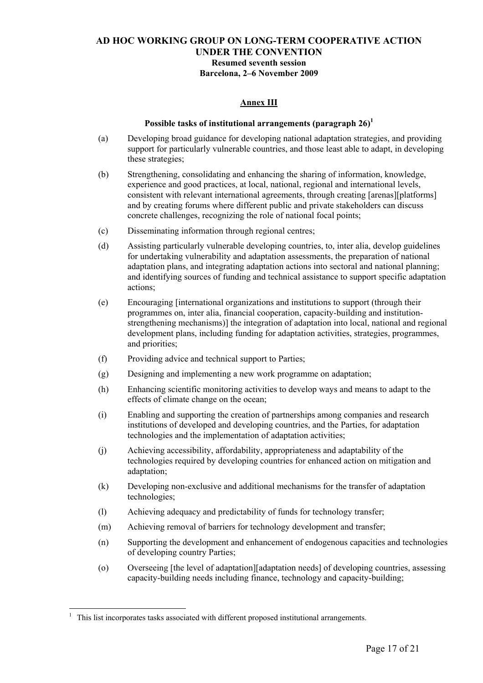### **Annex III**

### Possible tasks of institutional arrangements (paragraph 26)<sup>1</sup>

- (a) Developing broad guidance for developing national adaptation strategies, and providing support for particularly vulnerable countries, and those least able to adapt, in developing these strategies;
- (b) Strengthening, consolidating and enhancing the sharing of information, knowledge, experience and good practices, at local, national, regional and international levels, consistent with relevant international agreements, through creating [arenas][platforms] and by creating forums where different public and private stakeholders can discuss concrete challenges, recognizing the role of national focal points;
- (c) Disseminating information through regional centres;
- (d) Assisting particularly vulnerable developing countries, to, inter alia, develop guidelines for undertaking vulnerability and adaptation assessments, the preparation of national adaptation plans, and integrating adaptation actions into sectoral and national planning; and identifying sources of funding and technical assistance to support specific adaptation actions;
- (e) Encouraging [international organizations and institutions to support (through their programmes on, inter alia, financial cooperation, capacity-building and institutionstrengthening mechanisms)] the integration of adaptation into local, national and regional development plans, including funding for adaptation activities, strategies, programmes, and priorities;
- (f) Providing advice and technical support to Parties;
- (g) Designing and implementing a new work programme on adaptation;
- (h) Enhancing scientific monitoring activities to develop ways and means to adapt to the effects of climate change on the ocean;
- (i) Enabling and supporting the creation of partnerships among companies and research institutions of developed and developing countries, and the Parties, for adaptation technologies and the implementation of adaptation activities;
- (j) Achieving accessibility, affordability, appropriateness and adaptability of the technologies required by developing countries for enhanced action on mitigation and adaptation;
- (k) Developing non-exclusive and additional mechanisms for the transfer of adaptation technologies;
- (l) Achieving adequacy and predictability of funds for technology transfer;
- (m) Achieving removal of barriers for technology development and transfer;
- (n) Supporting the development and enhancement of endogenous capacities and technologies of developing country Parties;
- (o) Overseeing [the level of adaptation][adaptation needs] of developing countries, assessing capacity-building needs including finance, technology and capacity-building;

<sup>1</sup> This list incorporates tasks associated with different proposed institutional arrangements.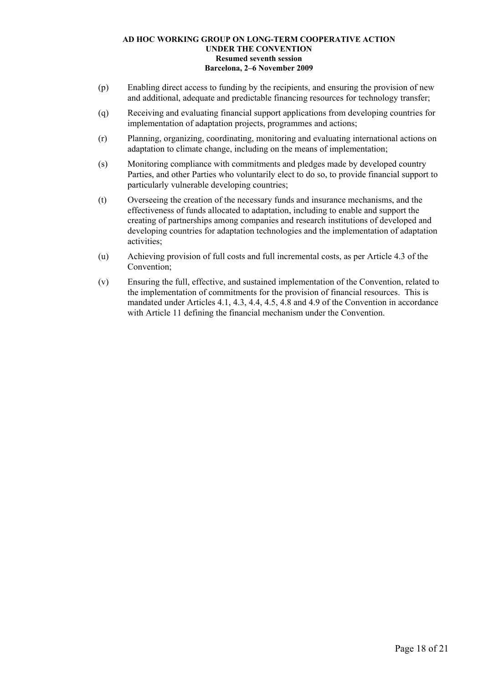- (p) Enabling direct access to funding by the recipients, and ensuring the provision of new and additional, adequate and predictable financing resources for technology transfer;
- (q) Receiving and evaluating financial support applications from developing countries for implementation of adaptation projects, programmes and actions;
- (r) Planning, organizing, coordinating, monitoring and evaluating international actions on adaptation to climate change, including on the means of implementation;
- (s) Monitoring compliance with commitments and pledges made by developed country Parties, and other Parties who voluntarily elect to do so, to provide financial support to particularly vulnerable developing countries;
- (t) Overseeing the creation of the necessary funds and insurance mechanisms, and the effectiveness of funds allocated to adaptation, including to enable and support the creating of partnerships among companies and research institutions of developed and developing countries for adaptation technologies and the implementation of adaptation activities;
- (u) Achieving provision of full costs and full incremental costs, as per Article 4.3 of the Convention;
- (v) Ensuring the full, effective, and sustained implementation of the Convention, related to the implementation of commitments for the provision of financial resources. This is mandated under Articles 4.1, 4.3, 4.4, 4.5, 4.8 and 4.9 of the Convention in accordance with Article 11 defining the financial mechanism under the Convention.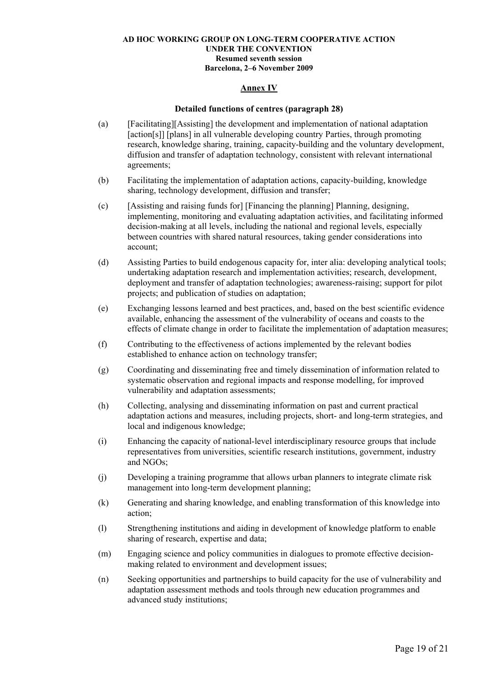### **Annex IV**

#### **Detailed functions of centres (paragraph 28)**

- (a) [Facilitating][Assisting] the development and implementation of national adaptation [action[s]] [plans] in all vulnerable developing country Parties, through promoting research, knowledge sharing, training, capacity-building and the voluntary development, diffusion and transfer of adaptation technology, consistent with relevant international agreements;
- (b) Facilitating the implementation of adaptation actions, capacity-building, knowledge sharing, technology development, diffusion and transfer;
- (c) [Assisting and raising funds for] [Financing the planning] Planning, designing, implementing, monitoring and evaluating adaptation activities, and facilitating informed decision-making at all levels, including the national and regional levels, especially between countries with shared natural resources, taking gender considerations into account;
- (d) Assisting Parties to build endogenous capacity for, inter alia: developing analytical tools; undertaking adaptation research and implementation activities; research, development, deployment and transfer of adaptation technologies; awareness-raising; support for pilot projects; and publication of studies on adaptation;
- (e) Exchanging lessons learned and best practices, and, based on the best scientific evidence available, enhancing the assessment of the vulnerability of oceans and coasts to the effects of climate change in order to facilitate the implementation of adaptation measures;
- (f) Contributing to the effectiveness of actions implemented by the relevant bodies established to enhance action on technology transfer;
- (g) Coordinating and disseminating free and timely dissemination of information related to systematic observation and regional impacts and response modelling, for improved vulnerability and adaptation assessments;
- (h) Collecting, analysing and disseminating information on past and current practical adaptation actions and measures, including projects, short- and long-term strategies, and local and indigenous knowledge;
- (i) Enhancing the capacity of national-level interdisciplinary resource groups that include representatives from universities, scientific research institutions, government, industry and NGOs;
- (j) Developing a training programme that allows urban planners to integrate climate risk management into long-term development planning;
- (k) Generating and sharing knowledge, and enabling transformation of this knowledge into action;
- (l) Strengthening institutions and aiding in development of knowledge platform to enable sharing of research, expertise and data;
- (m) Engaging science and policy communities in dialogues to promote effective decisionmaking related to environment and development issues;
- (n) Seeking opportunities and partnerships to build capacity for the use of vulnerability and adaptation assessment methods and tools through new education programmes and advanced study institutions;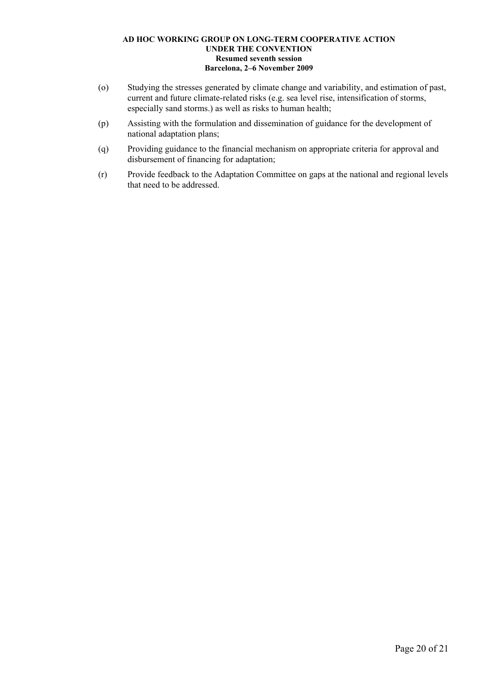- (o) Studying the stresses generated by climate change and variability, and estimation of past, current and future climate-related risks (e.g. sea level rise, intensification of storms, especially sand storms.) as well as risks to human health;
- (p) Assisting with the formulation and dissemination of guidance for the development of national adaptation plans;
- (q) Providing guidance to the financial mechanism on appropriate criteria for approval and disbursement of financing for adaptation;
- (r) Provide feedback to the Adaptation Committee on gaps at the national and regional levels that need to be addressed.